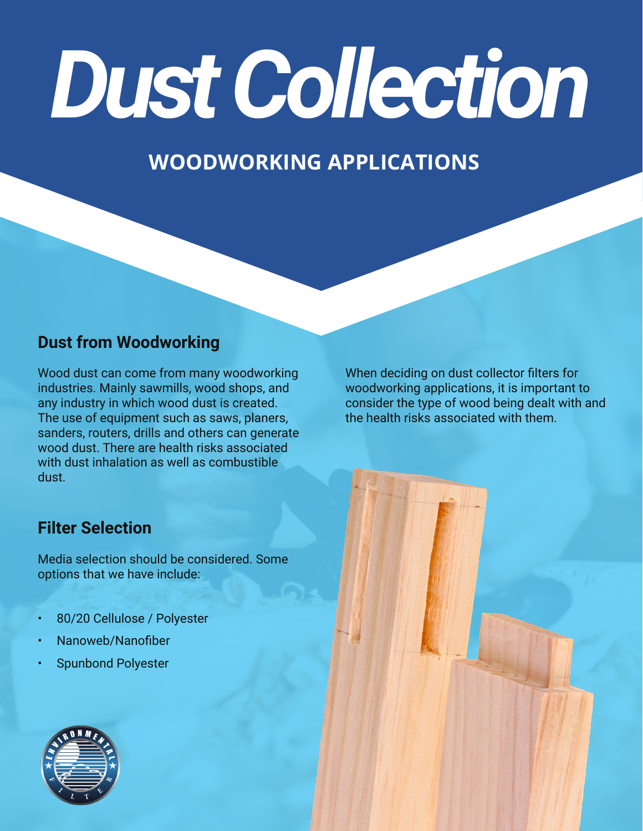# *Dust Collection*

### **WOODWORKING APPLICATIONS**

#### **Dust from Woodworking**

Wood dust can come from many woodworking industries. Mainly sawmills, wood shops, and any industry in which wood dust is created. The use of equipment such as saws, planers, sanders, routers, drills and others can generate wood dust. There are health risks associated with dust inhalation as well as combustible dust.

#### **Filter Selection**

Media selection should be considered. Some options that we have include:

- 80/20 Cellulose / Polyester
- Nanoweb/Nanofiber
- Spunbond Polyester

When deciding on dust collector filters for woodworking applications, it is important to consider the type of wood being dealt with and the health risks associated with them.